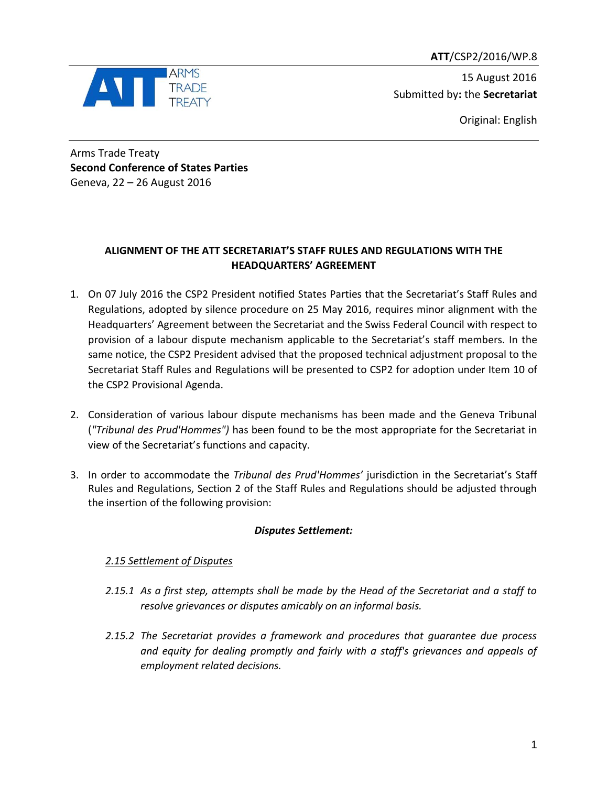**ATT**/CSP2/2016/WP.8



 15 August 2016 Submitted by**:** the **Secretariat**

Original: English

Arms Trade Treaty **Second Conference of States Parties** Geneva, 22 – 26 August 2016

## **ALIGNMENT OF THE ATT SECRETARIAT'S STAFF RULES AND REGULATIONS WITH THE HEADQUARTERS' AGREEMENT**

- 1. On 07 July 2016 the CSP2 President notified States Parties that the Secretariat's Staff Rules and Regulations, adopted by silence procedure on 25 May 2016, requires minor alignment with the Headquarters' Agreement between the Secretariat and the Swiss Federal Council with respect to provision of a labour dispute mechanism applicable to the Secretariat's staff members. In the same notice, the CSP2 President advised that the proposed technical adjustment proposal to the Secretariat Staff Rules and Regulations will be presented to CSP2 for adoption under Item 10 of the CSP2 Provisional Agenda.
- 2. Consideration of various labour dispute mechanisms has been made and the Geneva Tribunal (*"Tribunal des Prud'Hommes")* has been found to be the most appropriate for the Secretariat in view of the Secretariat's functions and capacity.
- 3. In order to accommodate the *Tribunal des Prud'Hommes'* jurisdiction in the Secretariat's Staff Rules and Regulations, Section 2 of the Staff Rules and Regulations should be adjusted through the insertion of the following provision:

## *Disputes Settlement:*

## *2.15 Settlement of Disputes*

- *2.15.1 As a first step, attempts shall be made by the Head of the Secretariat and a staff to resolve grievances or disputes amicably on an informal basis.*
- *2.15.2 The Secretariat provides a framework and procedures that guarantee due process and equity for dealing promptly and fairly with a staff's grievances and appeals of employment related decisions.*